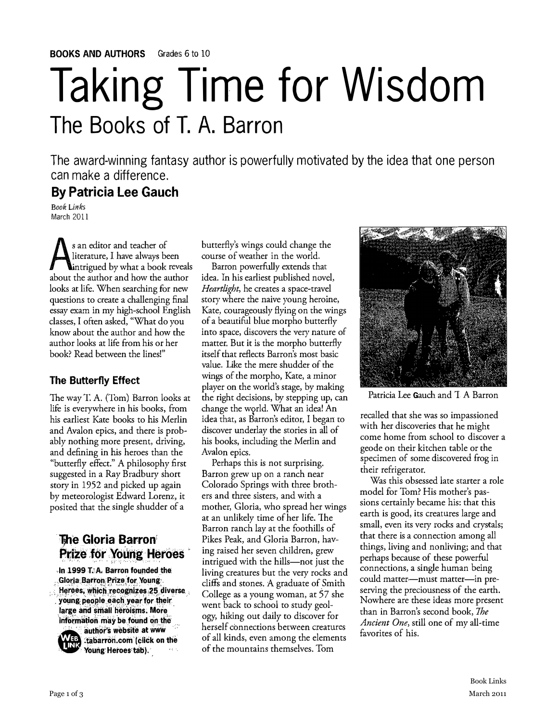# **Taking Time for Wisdom** The Books of T. A. Barron

The award-winning fantasy author is powerfully motivated by the idea that one person can make a difference.

## **By Patricia Lee Gauch**

Book Links March 2011

s an editor and teacher of literature, I have always been intrigued by what a book reveals about the author and how the author looks at life. When searching for new questions to create a challenging final essay exam in my high-school English classes, I often asked, "What do you know about the author and how the author looks at life from his or her book? Read between the lines!"

### The Butterfly Effect

The way T. A. (Tom) Barron looks at life is everywhere in his books, from his earliest Kate books to his Merlin and Avalon epics, and there is probably nothing more present, driving, and defining in his heroes than the "butterfly effect." A philosophy first suggested in a Ray Bradbury short story in 1952 and picked up again by meteorologist Edward Lorenz, it posited that the single shudder of a

## The Gloria Barron **Prize for Young Heroes**

In 1999 T.A. Barron founded the **Gloria Barron Prize for Young** Heroes, which recognizes 25 diverse ţŜ young people each year for their large and small heroisms. More information may be found on the



author's website at www tabarron.com (click on the Young Heroes tab).

butterfly's wings could change the course of weather in the world.

Barron powerfully extends that idea. In his earliest published novel, *Heartlight*, he creates a space-travel story where the naive young heroine, Kate, courageously flying on the wings of a beautiful blue morpho butterfly into space, discovers the very nature of matter. But it is the morpho butterfly itself that reflects Barron's most basic value. Like the mere shudder of the wings of the morpho, Kate, a minor player on the world's stage, by making the right decisions, by stepping up, can change the world. What an idea! An idea that, as Barron's editor, I began to discover underlay the stories in all of his books, including the Merlin and Avalon epics.

Perhaps this is not surprising. Barron grew up on a ranch near Colorado Springs with three brothers and three sisters, and with a mother, Gloria, who spread her wings at an unlikely time of her life. The Barron ranch lay at the foothills of Pikes Peak, and Gloria Barron, having raised her seven children, grew intrigued with the hills-not just the living creatures but the very rocks and cliffs and stones. A graduate of Smith College as a young woman, at 57 she went back to school to study geology, hiking out daily to discover for herself connections between creatures of all kinds, even among the elements of the mountains themselves. Tom



Patricia Lee Gauch and T A Barron

recalled that she was so impassioned with her discoveries that he might come home from school to discover a geode on their kitchen table or the specimen of some discovered frog in their refrigerator.

Was this obsessed late starter a role model for Tom? His mother's passions certainly became his: that this earth is good, its creatures large and small, even its very rocks and crystals; that there is a connection among all things, living and nonliving; and that perhaps because of these powerful connections, a single human being could matter—must matter—in preserving the preciousness of the earth. Nowhere are these ideas more present than in Barron's second book, The Ancient One, still one of my all-time favorites of his.